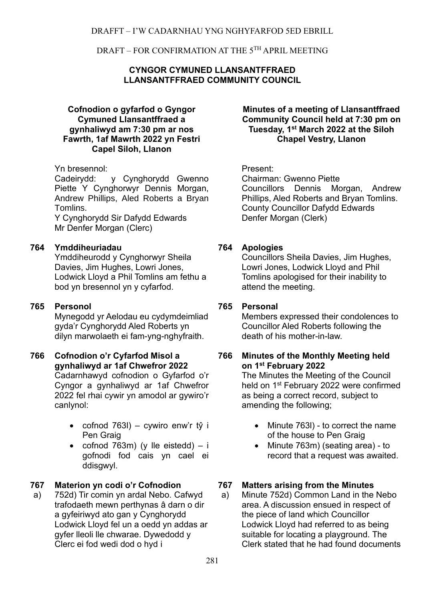### **CYNGOR CYMUNED LLANSANTFFRAED LLANSANTFFRAED COMMUNITY COUNCIL**

#### **Cofnodion o gyfarfod o Gyngor Cymuned Llansantffraed a gynhaliwyd am 7:30 pm ar nos Fawrth, 1af Mawrth 2022 yn Festri Capel Siloh, Llanon**

## Yn bresennol: Present:

Cadeirydd: y Cynghorydd Gwenno Piette Y Cynghorwyr Dennis Morgan, Andrew Phillips, Aled Roberts a Bryan **Tomlins** 

Y Cynghorydd Sir Dafydd Edwards Mr Denfer Morgan (Clerc)

## **764 Ymddiheuriadau**

Ymddiheurodd y Cynghorwyr Sheila Davies, Jim Hughes, Lowri Jones, Lodwick Lloyd a Phil Tomlins am fethu a bod yn bresennol yn y cyfarfod.

## **765 Personol**

Mynegodd yr Aelodau eu cydymdeimliad gyda'r Cynghorydd Aled Roberts yn dilyn marwolaeth ei fam-yng-nghyfraith.

#### **766 Cofnodion o'r Cyfarfod Misol a gynhaliwyd ar 1af Chwefror 2022** Cadarnhawyd cofnodion o Gyfarfod o'r Cyngor a gynhaliwyd ar 1af Chwefror 2022 fel rhai cywir yn amodol ar gywiro'r canlynol:

- cofnod  $763I$ ) cywiro enw'r tŷ i Pen Graig
- cofnod  $763m$ ) (y lle eistedd) i gofnodi fod cais yn cael ei ddisgwyl.

a) 752d) Tir comin yn ardal Nebo. Cafwyd trafodaeth mewn perthynas â darn o dir a gyfeiriwyd ato gan y Cynghorydd Lodwick Lloyd fel un a oedd yn addas ar gyfer lleoli lle chwarae. Dywedodd y Clerc ei fod wedi dod o hyd i

#### **Minutes of a meeting of Llansantffraed Community Council held at 7:30 pm on Tuesday, 1 st March 2022 at the Siloh Chapel Vestry, Llanon**

Chairman: Gwenno Piette Councillors Dennis Morgan, Andrew Phillips, Aled Roberts and Bryan Tomlins. County Councillor Dafydd Edwards Denfer Morgan (Clerk)

## **764 Apologies**

Councillors Sheila Davies, Jim Hughes, Lowri Jones, Lodwick Lloyd and Phil Tomlins apologised for their inability to attend the meeting.

## **765 Personal**

Members expressed their condolences to Councillor Aled Roberts following the death of his mother-in-law.

### **766 Minutes of the Monthly Meeting held on 1 st February 2022**

The Minutes the Meeting of the Council held on 1<sup>st</sup> February 2022 were confirmed as being a correct record, subject to amending the following;

- Minute 763I) to correct the name of the house to Pen Graig
- Minute 763m) (seating area) to record that a request was awaited.

# **767 Materion yn codi o'r Cofnodion 767 Matters arising from the Minutes**

a) Minute 752d) Common Land in the Nebo area. A discussion ensued in respect of the piece of land which Councillor Lodwick Lloyd had referred to as being suitable for locating a playground. The Clerk stated that he had found documents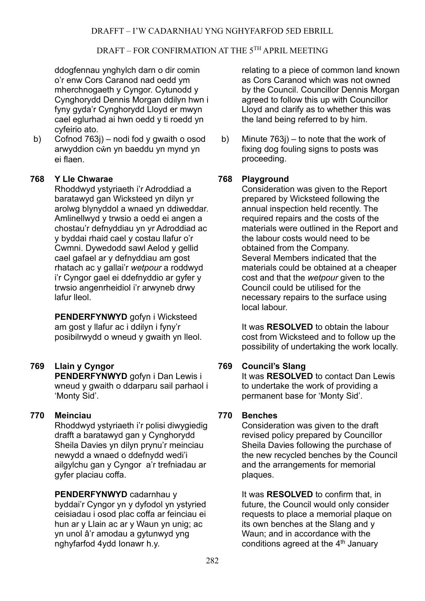ddogfennau ynghylch darn o dir comin o'r enw Cors Caranod nad oedd ym mherchnogaeth y Cyngor. Cytunodd y Cynghorydd Dennis Morgan ddilyn hwn i fyny gyda'r Cynghorydd Lloyd er mwyn cael eglurhad ai hwn oedd y ti roedd yn cyfeirio ato.

b) Cofnod 763j) – nodi fod y gwaith o osod arwyddion cŵn yn baeddu yn mynd yn ei flaen.

## **768 Y Lle Chwarae**

Rhoddwyd ystyriaeth i'r Adroddiad a baratawyd gan Wicksteed yn dilyn yr arolwg blynyddol a wnaed yn ddiweddar. Amlinellwyd y trwsio a oedd ei angen a chostau'r defnyddiau yn yr Adroddiad ac y byddai rhaid cael y costau llafur o'r Cwmni. Dywedodd sawl Aelod y gellid cael gafael ar y defnyddiau am gost rhatach ac y gallai'r *wetpour* a roddwyd i'r Cyngor gael ei ddefnyddio ar gyfer y trwsio angenrheidiol i'r arwyneb drwy lafur lleol.

**PENDERFYNWYD** gofyn i Wicksteed am gost y llafur ac i ddilyn i fyny'r posibilrwydd o wneud y gwaith yn lleol.

# **769 Llain y Cyngor**

**PENDERFYNWYD** gofyn i Dan Lewis i wneud y gwaith o ddarparu sail parhaol i 'Monty Sid'.

## **770 Meinciau**

Rhoddwyd ystyriaeth i'r polisi diwygiedig drafft a baratawyd gan y Cynghorydd Sheila Davies yn dilyn prynu'r meinciau newydd a wnaed o ddefnydd wedi'i ailgylchu gan y Cyngor a'r trefniadau ar gyfer placiau coffa.

**PENDERFYNWYD** cadarnhau y byddai'r Cyngor yn y dyfodol yn ystyried ceisiadau i osod plac coffa ar feinciau ei hun ar y Llain ac ar y Waun yn unig; ac yn unol â'r amodau a gytunwyd yng nghyfarfod 4ydd Ionawr h.y.

relating to a piece of common land known as Cors Caranod which was not owned by the Council. Councillor Dennis Morgan agreed to follow this up with Councillor Lloyd and clarify as to whether this was the land being referred to by him.

b) Minute 763j) – to note that the work of fixing dog fouling signs to posts was proceeding.

## **768 Playground**

Consideration was given to the Report prepared by Wicksteed following the annual inspection held recently. The required repairs and the costs of the materials were outlined in the Report and the labour costs would need to be obtained from the Company. Several Members indicated that the materials could be obtained at a cheaper cost and that the *wetpour* given to the Council could be utilised for the necessary repairs to the surface using local labour.

It was **RESOLVED** to obtain the labour cost from Wicksteed and to follow up the possibility of undertaking the work locally.

## **769 Council's Slang**

It was **RESOLVED** to contact Dan Lewis to undertake the work of providing a permanent base for 'Monty Sid'.

## **770 Benches**

Consideration was given to the draft revised policy prepared by Councillor Sheila Davies following the purchase of the new recycled benches by the Council and the arrangements for memorial plaques.

It was **RESOLVED** to confirm that, in future, the Council would only consider requests to place a memorial plaque on its own benches at the Slang and y Waun; and in accordance with the conditions agreed at the 4<sup>th</sup> January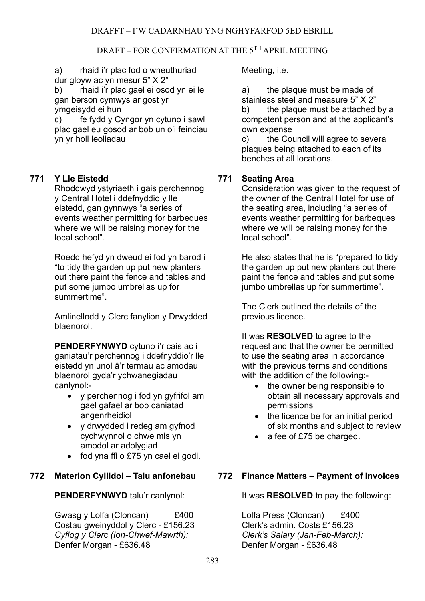a) rhaid i'r plac fod o wneuthuriad dur gloyw ac yn mesur 5" X 2"

b) rhaid i'r plac gael ei osod yn ei le gan berson cymwys ar gost yr ymgeisydd ei hun

c) fe fydd y Cyngor yn cytuno i sawl plac gael eu gosod ar bob un o'i feinciau yn yr holl leoliadau

## **771 Y Lle Eistedd**

Rhoddwyd ystyriaeth i gais perchennog y Central Hotel i ddefnyddio y lle eistedd, gan gynnwys "a series of events weather permitting for barbeques where we will be raising money for the local school".

Roedd hefyd yn dweud ei fod yn barod i "to tidy the garden up put new planters out there paint the fence and tables and put some jumbo umbrellas up for summertime".

Amlinellodd y Clerc fanylion y Drwydded blaenorol.

**PENDERFYNWYD** cytuno i'r cais ac i ganiatau'r perchennog i ddefnyddio'r lle eistedd yn unol â'r termau ac amodau blaenorol gyda'r ychwanegiadau canlynol:-

- y perchennog i fod yn gyfrifol am gael gafael ar bob caniatad angenrheidiol
- y drwydded i redeg am gyfnod cychwynnol o chwe mis yn amodol ar adolygiad
- fod yna ffi o £75 yn cael ei godi.

#### **772 Materion Cyllidol – Talu anfonebau**

**PENDERFYNWYD** talu'r canlynol:

Gwasg y Lolfa (Cloncan) £400 Costau gweinyddol y Clerc - £156.23 *Cyflog y Clerc (Ion-Chwef-Mawrth):* Denfer Morgan - £636.48

Meeting, i.e.

a) the plaque must be made of

stainless steel and measure 5" X 2" b) the plaque must be attached by a competent person and at the applicant's own expense

c) the Council will agree to several plaques being attached to each of its benches at all locations.

### **771 Seating Area**

Consideration was given to the request of the owner of the Central Hotel for use of the seating area, including "a series of events weather permitting for barbeques where we will be raising money for the local school".

He also states that he is "prepared to tidy the garden up put new planters out there paint the fence and tables and put some jumbo umbrellas up for summertime".

The Clerk outlined the details of the previous licence.

It was **RESOLVED** to agree to the request and that the owner be permitted to use the seating area in accordance with the previous terms and conditions with the addition of the following:-

- the owner being responsible to obtain all necessary approvals and permissions
- the licence be for an initial period of six months and subject to review
- a fee of £75 be charged.

## **772 Finance Matters – Payment of invoices**

It was **RESOLVED** to pay the following:

Lolfa Press (Cloncan) £400 Clerk's admin. Costs £156.23 *Clerk's Salary (Jan-Feb-March):* Denfer Morgan - £636.48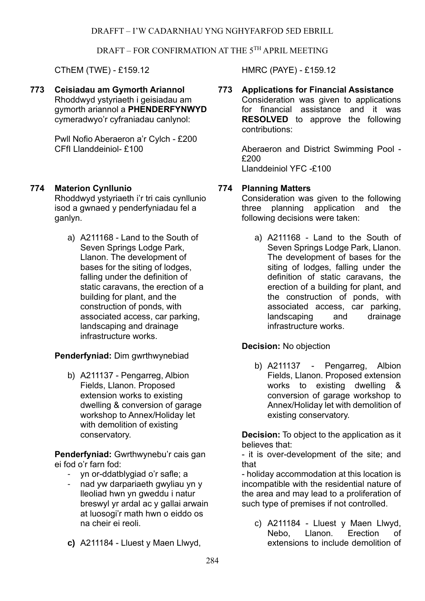CThEM (TWE) - £159.12 HMRC (PAYE) - £159.12

**773 Ceisiadau am Gymorth Ariannol** Rhoddwyd ystyriaeth i geisiadau am gymorth ariannol a **PHENDERFYNWYD** cymeradwyo'r cyfraniadau canlynol:

> Pwll Nofio Aberaeron a'r Cylch - £200 CFfI Llanddeiniol- £100

## **774 Materion Cynllunio**

Rhoddwyd ystyriaeth i'r tri cais cynllunio isod a gwnaed y penderfyniadau fel a ganlyn.

a) A211168 - Land to the South of Seven Springs Lodge Park, Llanon. The development of bases for the siting of lodges, falling under the definition of static caravans, the erection of a building for plant, and the construction of ponds, with associated access, car parking, landscaping and drainage infrastructure works.

## **Penderfyniad:** Dim gwrthwynebiad

b) A211137 - Pengarreg, Albion Fields, Llanon. Proposed extension works to existing dwelling & conversion of garage workshop to Annex/Holiday let with demolition of existing conservatory.

**Penderfyniad:** Gwrthwynebu'r cais gan ei fod o'r farn fod:

- yn or-ddatblygiad o'r safle; a
- nad yw darpariaeth gwyliau yn y lleoliad hwn yn gweddu i natur breswyl yr ardal ac y gallai arwain at luosogi'r math hwn o eiddo os na cheir ei reoli.
- **c)** A211184 Lluest y Maen Llwyd,

#### **773 Applications for Financial Assistance** Consideration was given to applications for financial assistance and it was **RESOLVED** to approve the following contributions:

Aberaeron and District Swimming Pool - £200 Llanddeiniol YFC -£100

### **774 Planning Matters**

Consideration was given to the following three planning application and the following decisions were taken:

a) A211168 - Land to the South of Seven Springs Lodge Park, Llanon. The development of bases for the siting of lodges, falling under the definition of static caravans, the erection of a building for plant, and the construction of ponds, with associated access, car parking, landscaping and drainage infrastructure works.

## **Decision:** No objection

b) A211137 - Pengarreg, Albion Fields, Llanon. Proposed extension works to existing dwelling & conversion of garage workshop to Annex/Holiday let with demolition of existing conservatory.

**Decision:** To object to the application as it believes that:

- it is over-development of the site; and that

- holiday accommodation at this location is incompatible with the residential nature of the area and may lead to a proliferation of such type of premises if not controlled.

c) A211184 - Lluest y Maen Llwyd, Nebo, Llanon. Erection of extensions to include demolition of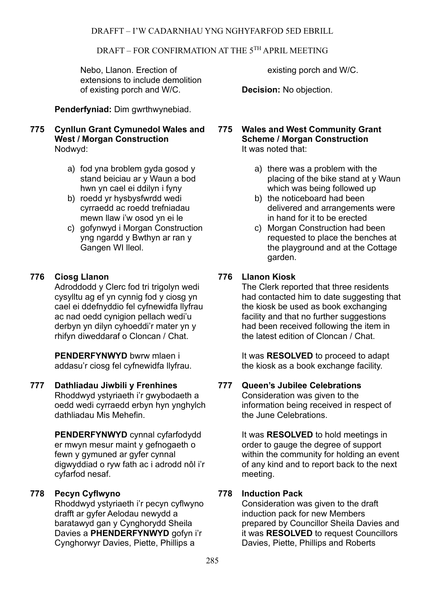Nebo, Llanon. Erection of extensions to include demolition of existing porch and W/C.

**Penderfyniad:** Dim gwrthwynebiad.

## **775 Cynllun Grant Cymunedol Wales and West / Morgan Construction** Nodwyd:

- a) fod yna broblem gyda gosod y stand beiciau ar y Waun a bod hwn yn cael ei ddilyn i fyny
- b) roedd yr hysbysfwrdd wedi cyrraedd ac roedd trefniadau mewn llaw i'w osod yn ei le
- c) gofynwyd i Morgan Construction yng ngardd y Bwthyn ar ran y Gangen WI lleol.

# **776 Ciosg Llanon**

Adroddodd y Clerc fod tri trigolyn wedi cysylltu ag ef yn cynnig fod y ciosg yn cael ei ddefnyddio fel cyfnewidfa llyfrau ac nad oedd cynigion pellach wedi'u derbyn yn dilyn cyhoeddi'r mater yn y rhifyn diweddaraf o Cloncan / Chat.

**PENDERFYNWYD** bwrw mlaen i addasu'r ciosg fel cyfnewidfa llyfrau.

## **777 Dathliadau Jiwbili y Frenhines**

Rhoddwyd ystyriaeth i'r gwybodaeth a oedd wedi cyrraedd erbyn hyn ynghylch dathliadau Mis Mehefin.

**PENDERFYNWYD** cynnal cyfarfodydd er mwyn mesur maint y gefnogaeth o fewn y gymuned ar gyfer cynnal digwyddiad o ryw fath ac i adrodd nôl i'r cyfarfod nesaf.

## **778 Pecyn Cyflwyno**

Rhoddwyd ystyriaeth i'r pecyn cyflwyno drafft ar gyfer Aelodau newydd a baratawyd gan y Cynghorydd Sheila Davies a **PHENDERFYNWYD** gofyn i'r Cynghorwyr Davies, Piette, Phillips a

existing porch and W/C.

**Decision:** No objection.

**775 Wales and West Community Grant Scheme / Morgan Construction** It was noted that:

- a) there was a problem with the placing of the bike stand at y Waun which was being followed up
- b) the noticeboard had been delivered and arrangements were in hand for it to be erected
- c) Morgan Construction had been requested to place the benches at the playground and at the Cottage garden.

# **776 Llanon Kiosk**

The Clerk reported that three residents had contacted him to date suggesting that the kiosk be used as book exchanging facility and that no further suggestions had been received following the item in the latest edition of Cloncan / Chat.

It was **RESOLVED** to proceed to adapt the kiosk as a book exchange facility.

## **777 Queen's Jubilee Celebrations**

Consideration was given to the information being received in respect of the June Celebrations.

It was **RESOLVED** to hold meetings in order to gauge the degree of support within the community for holding an event of any kind and to report back to the next meeting.

## **778 Induction Pack**

Consideration was given to the draft induction pack for new Members prepared by Councillor Sheila Davies and it was **RESOLVED** to request Councillors Davies, Piette, Phillips and Roberts